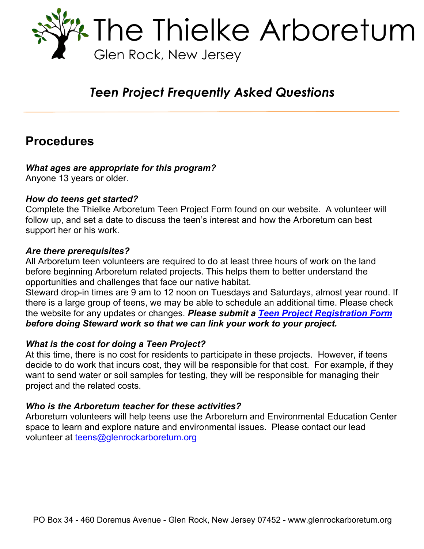

# *Teen Project Frequently Asked Questions*

# **Procedures**

### *What ages are appropriate for this program?*

Anyone 13 years or older.

### *How do teens get started?*

Complete the Thielke Arboretum Teen Project Form found on our website. A volunteer will follow up, and set a date to discuss the teen's interest and how the Arboretum can best support her or his work.

### *Are there prerequisites?*

All Arboretum teen volunteers are required to do at least three hours of work on the land before beginning Arboretum related projects. This helps them to better understand the opportunities and challenges that face our native habitat.

Steward drop-in times are 9 am to 12 noon on Tuesdays and Saturdays, almost year round. If there is a large group of teens, we may be able to schedule an additional time. Please check the website for any updates or changes. *Please submit a Teen Project Registration Form before doing Steward work so that we can link your work to your project.*

### *What is the cost for doing a Teen Project?*

At this time, there is no cost for residents to participate in these projects. However, if teens decide to do work that incurs cost, they will be responsible for that cost. For example, if they want to send water or soil samples for testing, they will be responsible for managing their project and the related costs.

### *Who is the Arboretum teacher for these activities?*

Arboretum volunteers will help teens use the Arboretum and Environmental Education Center space to learn and explore nature and environmental issues. Please contact our lead volunteer at teens@glenrockarboretum.org